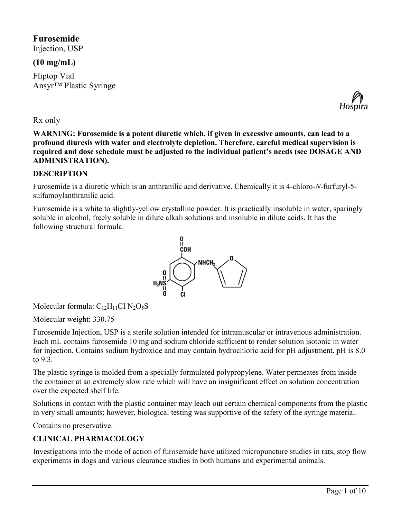# **Furosemide**

Injection, USP

# **(10 mg/mL)**

Fliptop Vial Ansyr™ Plastic Syringe



**WARNING: Furosemide is a potent diuretic which, if given in excessive amounts, can lead to a profound diuresis with water and electrolyte depletion. Therefore, careful medical supervision is required and dose schedule must be adjusted to the individual patient's needs (see DOSAGE AND ADMINISTRATION).**

# **DESCRIPTION**

Furosemide is a diuretic which is an anthranilic acid derivative. Chemically it is 4-chloro-*N*-furfuryl-5 sulfamoylanthranilic acid.

Furosemide is a white to slightly-yellow crystalline powder. It is practically insoluble in water, sparingly soluble in alcohol, freely soluble in dilute alkali solutions and insoluble in dilute acids. It has the following structural formula:



Molecular formula:  $C_{12}H_{11}CI N_2O_5S$ 

Molecular weight: 330.75

Furosemide Injection, USP is a sterile solution intended for intramuscular or intravenous administration. Each mL contains furosemide 10 mg and sodium chloride sufficient to render solution isotonic in water for injection. Contains sodium hydroxide and may contain hydrochloric acid for pH adjustment. pH is 8.0 to 9.3.

The plastic syringe is molded from a specially formulated polypropylene. Water permeates from inside the container at an extremely slow rate which will have an insignificant effect on solution concentration over the expected shelf life.

Solutions in contact with the plastic container may leach out certain chemical components from the plastic in very small amounts; however, biological testing was supportive of the safety of the syringe material.

Contains no preservative.

# **CLINICAL PHARMACOLOGY**

Investigations into the mode of action of furosemide have utilized micropuncture studies in rats, stop flow experiments in dogs and various clearance studies in both humans and experimental animals.

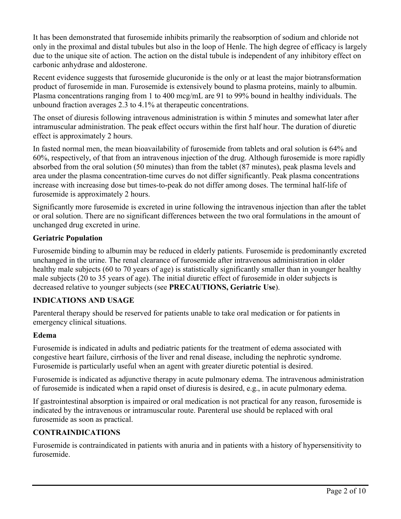It has been demonstrated that furosemide inhibits primarily the reabsorption of sodium and chloride not only in the proximal and distal tubules but also in the loop of Henle. The high degree of efficacy is largely due to the unique site of action. The action on the distal tubule is independent of any inhibitory effect on carbonic anhydrase and aldosterone.

Recent evidence suggests that furosemide glucuronide is the only or at least the major biotransformation product of furosemide in man. Furosemide is extensively bound to plasma proteins, mainly to albumin. Plasma concentrations ranging from 1 to 400 mcg/mL are 91 to 99% bound in healthy individuals. The unbound fraction averages 2.3 to 4.1% at therapeutic concentrations.

The onset of diuresis following intravenous administration is within 5 minutes and somewhat later after intramuscular administration. The peak effect occurs within the first half hour. The duration of diuretic effect is approximately 2 hours.

In fasted normal men, the mean bioavailability of furosemide from tablets and oral solution is 64% and 60%, respectively, of that from an intravenous injection of the drug. Although furosemide is more rapidly absorbed from the oral solution (50 minutes) than from the tablet (87 minutes), peak plasma levels and area under the plasma concentration-time curves do not differ significantly. Peak plasma concentrations increase with increasing dose but times-to-peak do not differ among doses. The terminal half-life of furosemide is approximately 2 hours.

Significantly more furosemide is excreted in urine following the intravenous injection than after the tablet or oral solution. There are no significant differences between the two oral formulations in the amount of unchanged drug excreted in urine.

# **Geriatric Population**

Furosemide binding to albumin may be reduced in elderly patients. Furosemide is predominantly excreted unchanged in the urine. The renal clearance of furosemide after intravenous administration in older healthy male subjects (60 to 70 years of age) is statistically significantly smaller than in younger healthy male subjects (20 to 35 years of age). The initial diuretic effect of furosemide in older subjects is decreased relative to younger subjects (see **PRECAUTIONS, Geriatric Use**).

### **INDICATIONS AND USAGE**

Parenteral therapy should be reserved for patients unable to take oral medication or for patients in emergency clinical situations.

### **Edema**

Furosemide is indicated in adults and pediatric patients for the treatment of edema associated with congestive heart failure, cirrhosis of the liver and renal disease, including the nephrotic syndrome. Furosemide is particularly useful when an agent with greater diuretic potential is desired.

Furosemide is indicated as adjunctive therapy in acute pulmonary edema. The intravenous administration of furosemide is indicated when a rapid onset of diuresis is desired, e.g., in acute pulmonary edema.

If gastrointestinal absorption is impaired or oral medication is not practical for any reason, furosemide is indicated by the intravenous or intramuscular route. Parenteral use should be replaced with oral furosemide as soon as practical.

# **CONTRAINDICATIONS**

Furosemide is contraindicated in patients with anuria and in patients with a history of hypersensitivity to furosemide.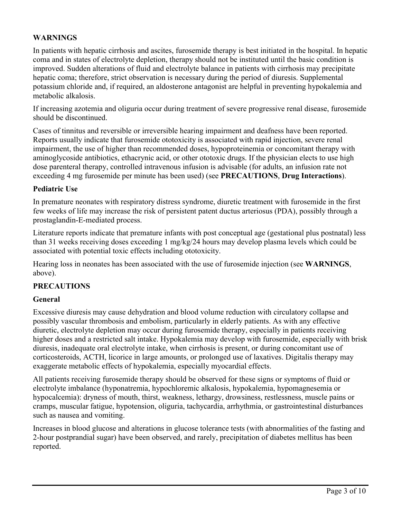# **WARNINGS**

In patients with hepatic cirrhosis and ascites, furosemide therapy is best initiated in the hospital. In hepatic coma and in states of electrolyte depletion, therapy should not be instituted until the basic condition is improved. Sudden alterations of fluid and electrolyte balance in patients with cirrhosis may precipitate hepatic coma; therefore, strict observation is necessary during the period of diuresis. Supplemental potassium chloride and, if required, an aldosterone antagonist are helpful in preventing hypokalemia and metabolic alkalosis.

If increasing azotemia and oliguria occur during treatment of severe progressive renal disease, furosemide should be discontinued.

Cases of tinnitus and reversible or irreversible hearing impairment and deafness have been reported. Reports usually indicate that furosemide ototoxicity is associated with rapid injection, severe renal impairment, the use of higher than recommended doses, hypoproteinemia or concomitant therapy with aminoglycoside antibiotics, ethacrynic acid, or other ototoxic drugs. If the physician elects to use high dose parenteral therapy, controlled intravenous infusion is advisable (for adults, an infusion rate not exceeding 4 mg furosemide per minute has been used) (see **PRECAUTIONS**, **Drug Interactions**).

### **Pediatric Use**

In premature neonates with respiratory distress syndrome, diuretic treatment with furosemide in the first few weeks of life may increase the risk of persistent patent ductus arteriosus (PDA), possibly through a prostaglandin-E-mediated process.

Literature reports indicate that premature infants with post conceptual age (gestational plus postnatal) less than 31 weeks receiving doses exceeding 1 mg/kg/24 hours may develop plasma levels which could be associated with potential toxic effects including ototoxicity.

Hearing loss in neonates has been associated with the use of furosemide injection (see **WARNINGS**, above).

# **PRECAUTIONS**

### **General**

Excessive diuresis may cause dehydration and blood volume reduction with circulatory collapse and possibly vascular thrombosis and embolism, particularly in elderly patients. As with any effective diuretic, electrolyte depletion may occur during furosemide therapy, especially in patients receiving higher doses and a restricted salt intake. Hypokalemia may develop with furosemide, especially with brisk diuresis, inadequate oral electrolyte intake, when cirrhosis is present, or during concomitant use of corticosteroids, ACTH, licorice in large amounts, or prolonged use of laxatives. Digitalis therapy may exaggerate metabolic effects of hypokalemia, especially myocardial effects.

All patients receiving furosemide therapy should be observed for these signs or symptoms of fluid or electrolyte imbalance (hyponatremia, hypochloremic alkalosis, hypokalemia, hypomagnesemia or hypocalcemia): dryness of mouth, thirst, weakness, lethargy, drowsiness, restlessness, muscle pains or cramps, muscular fatigue, hypotension, oliguria, tachycardia, arrhythmia, or gastrointestinal disturbances such as nausea and vomiting.

Increases in blood glucose and alterations in glucose tolerance tests (with abnormalities of the fasting and 2-hour postprandial sugar) have been observed, and rarely, precipitation of diabetes mellitus has been reported.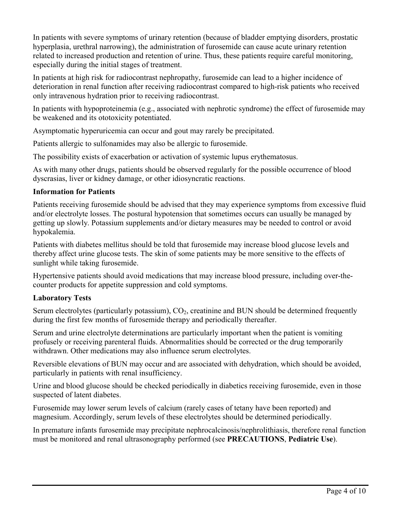In patients with severe symptoms of urinary retention (because of bladder emptying disorders, prostatic hyperplasia, urethral narrowing), the administration of furosemide can cause acute urinary retention related to increased production and retention of urine. Thus, these patients require careful monitoring, especially during the initial stages of treatment.

In patients at high risk for radiocontrast nephropathy, furosemide can lead to a higher incidence of deterioration in renal function after receiving radiocontrast compared to high-risk patients who received only intravenous hydration prior to receiving radiocontrast.

In patients with hypoproteinemia (e.g., associated with nephrotic syndrome) the effect of furosemide may be weakened and its ototoxicity potentiated.

Asymptomatic hyperuricemia can occur and gout may rarely be precipitated.

Patients allergic to sulfonamides may also be allergic to furosemide.

The possibility exists of exacerbation or activation of systemic lupus erythematosus.

As with many other drugs, patients should be observed regularly for the possible occurrence of blood dyscrasias, liver or kidney damage, or other idiosyncratic reactions.

## **Information for Patients**

Patients receiving furosemide should be advised that they may experience symptoms from excessive fluid and/or electrolyte losses. The postural hypotension that sometimes occurs can usually be managed by getting up slowly. Potassium supplements and/or dietary measures may be needed to control or avoid hypokalemia.

Patients with diabetes mellitus should be told that furosemide may increase blood glucose levels and thereby affect urine glucose tests. The skin of some patients may be more sensitive to the effects of sunlight while taking furosemide.

Hypertensive patients should avoid medications that may increase blood pressure, including over-thecounter products for appetite suppression and cold symptoms.

# **Laboratory Tests**

Serum electrolytes (particularly potassium),  $CO<sub>2</sub>$ , creatinine and BUN should be determined frequently during the first few months of furosemide therapy and periodically thereafter.

Serum and urine electrolyte determinations are particularly important when the patient is vomiting profusely or receiving parenteral fluids. Abnormalities should be corrected or the drug temporarily withdrawn. Other medications may also influence serum electrolytes.

Reversible elevations of BUN may occur and are associated with dehydration, which should be avoided, particularly in patients with renal insufficiency.

Urine and blood glucose should be checked periodically in diabetics receiving furosemide, even in those suspected of latent diabetes.

Furosemide may lower serum levels of calcium (rarely cases of tetany have been reported) and magnesium. Accordingly, serum levels of these electrolytes should be determined periodically.

In premature infants furosemide may precipitate nephrocalcinosis/nephrolithiasis, therefore renal function must be monitored and renal ultrasonography performed (see **PRECAUTIONS**, **Pediatric Use**).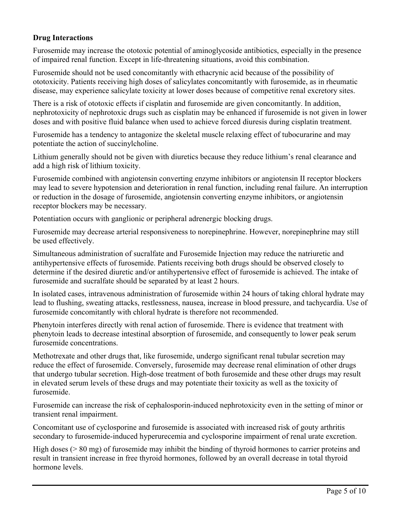## **Drug Interactions**

Furosemide may increase the ototoxic potential of aminoglycoside antibiotics, especially in the presence of impaired renal function. Except in life-threatening situations, avoid this combination.

Furosemide should not be used concomitantly with ethacrynic acid because of the possibility of ototoxicity. Patients receiving high doses of salicylates concomitantly with furosemide, as in rheumatic disease, may experience salicylate toxicity at lower doses because of competitive renal excretory sites.

There is a risk of ototoxic effects if cisplatin and furosemide are given concomitantly. In addition, nephrotoxicity of nephrotoxic drugs such as cisplatin may be enhanced if furosemide is not given in lower doses and with positive fluid balance when used to achieve forced diuresis during cisplatin treatment.

Furosemide has a tendency to antagonize the skeletal muscle relaxing effect of tubocurarine and may potentiate the action of succinylcholine.

Lithium generally should not be given with diuretics because they reduce lithium's renal clearance and add a high risk of lithium toxicity.

Furosemide combined with angiotensin converting enzyme inhibitors or angiotensin II receptor blockers may lead to severe hypotension and deterioration in renal function, including renal failure. An interruption or reduction in the dosage of furosemide, angiotensin converting enzyme inhibitors, or angiotensin receptor blockers may be necessary.

Potentiation occurs with ganglionic or peripheral adrenergic blocking drugs.

Furosemide may decrease arterial responsiveness to norepinephrine. However, norepinephrine may still be used effectively.

Simultaneous administration of sucralfate and Furosemide Injection may reduce the natriuretic and antihypertensive effects of furosemide. Patients receiving both drugs should be observed closely to determine if the desired diuretic and/or antihypertensive effect of furosemide is achieved. The intake of furosemide and sucralfate should be separated by at least 2 hours.

In isolated cases, intravenous administration of furosemide within 24 hours of taking chloral hydrate may lead to flushing, sweating attacks, restlessness, nausea, increase in blood pressure, and tachycardia. Use of furosemide concomitantly with chloral hydrate is therefore not recommended.

Phenytoin interferes directly with renal action of furosemide. There is evidence that treatment with phenytoin leads to decrease intestinal absorption of furosemide, and consequently to lower peak serum furosemide concentrations.

Methotrexate and other drugs that, like furosemide, undergo significant renal tubular secretion may reduce the effect of furosemide. Conversely, furosemide may decrease renal elimination of other drugs that undergo tubular secretion. High-dose treatment of both furosemide and these other drugs may result in elevated serum levels of these drugs and may potentiate their toxicity as well as the toxicity of furosemide.

Furosemide can increase the risk of cephalosporin-induced nephrotoxicity even in the setting of minor or transient renal impairment.

Concomitant use of cyclosporine and furosemide is associated with increased risk of gouty arthritis secondary to furosemide-induced hyperurecemia and cyclosporine impairment of renal urate excretion.

High doses ( $> 80$  mg) of furosemide may inhibit the binding of thyroid hormones to carrier proteins and result in transient increase in free thyroid hormones, followed by an overall decrease in total thyroid hormone levels.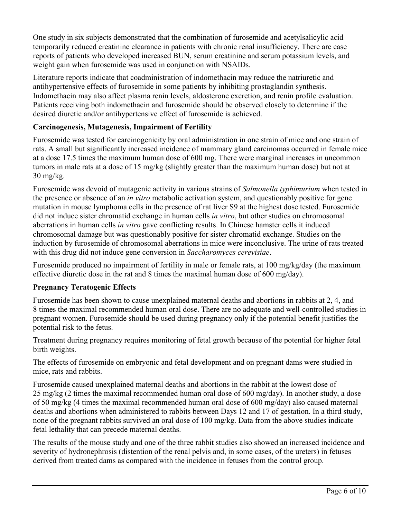One study in six subjects demonstrated that the combination of furosemide and acetylsalicylic acid temporarily reduced creatinine clearance in patients with chronic renal insufficiency. There are case reports of patients who developed increased BUN, serum creatinine and serum potassium levels, and weight gain when furosemide was used in conjunction with NSAIDs.

Literature reports indicate that coadministration of indomethacin may reduce the natriuretic and antihypertensive effects of furosemide in some patients by inhibiting prostaglandin synthesis. Indomethacin may also affect plasma renin levels, aldosterone excretion, and renin profile evaluation. Patients receiving both indomethacin and furosemide should be observed closely to determine if the desired diuretic and/or antihypertensive effect of furosemide is achieved.

# **Carcinogenesis, Mutagenesis, Impairment of Fertility**

Furosemide was tested for carcinogenicity by oral administration in one strain of mice and one strain of rats. A small but significantly increased incidence of mammary gland carcinomas occurred in female mice at a dose 17.5 times the maximum human dose of 600 mg. There were marginal increases in uncommon tumors in male rats at a dose of 15 mg/kg (slightly greater than the maximum human dose) but not at 30 mg/kg.

Furosemide was devoid of mutagenic activity in various strains of *Salmonella typhimurium* when tested in the presence or absence of an *in vitro* metabolic activation system, and questionably positive for gene mutation in mouse lymphoma cells in the presence of rat liver S9 at the highest dose tested. Furosemide did not induce sister chromatid exchange in human cells *in vitro*, but other studies on chromosomal aberrations in human cells *in vitro* gave conflicting results. In Chinese hamster cells it induced chromosomal damage but was questionably positive for sister chromatid exchange. Studies on the induction by furosemide of chromosomal aberrations in mice were inconclusive. The urine of rats treated with this drug did not induce gene conversion in *Saccharomyces cerevisiae*.

Furosemide produced no impairment of fertility in male or female rats, at 100 mg/kg/day (the maximum effective diuretic dose in the rat and 8 times the maximal human dose of 600 mg/day).

### **Pregnancy Teratogenic Effects**

Furosemide has been shown to cause unexplained maternal deaths and abortions in rabbits at 2, 4, and 8 times the maximal recommended human oral dose. There are no adequate and well-controlled studies in pregnant women. Furosemide should be used during pregnancy only if the potential benefit justifies the potential risk to the fetus.

Treatment during pregnancy requires monitoring of fetal growth because of the potential for higher fetal birth weights.

The effects of furosemide on embryonic and fetal development and on pregnant dams were studied in mice, rats and rabbits.

Furosemide caused unexplained maternal deaths and abortions in the rabbit at the lowest dose of 25 mg/kg (2 times the maximal recommended human oral dose of 600 mg/day). In another study, a dose of 50 mg/kg (4 times the maximal recommended human oral dose of 600 mg/day) also caused maternal deaths and abortions when administered to rabbits between Days 12 and 17 of gestation. In a third study, none of the pregnant rabbits survived an oral dose of 100 mg/kg. Data from the above studies indicate fetal lethality that can precede maternal deaths.

The results of the mouse study and one of the three rabbit studies also showed an increased incidence and severity of hydronephrosis (distention of the renal pelvis and, in some cases, of the ureters) in fetuses derived from treated dams as compared with the incidence in fetuses from the control group.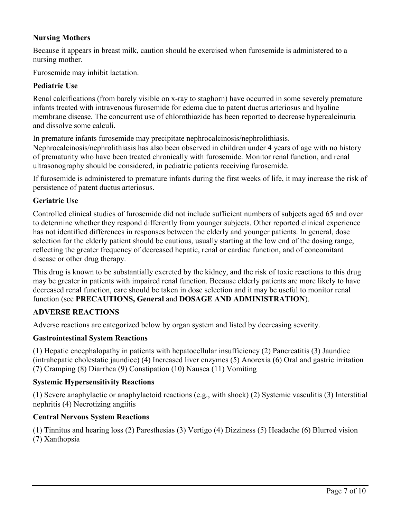# **Nursing Mothers**

Because it appears in breast milk, caution should be exercised when furosemide is administered to a nursing mother.

Furosemide may inhibit lactation.

### **Pediatric Use**

Renal calcifications (from barely visible on x-ray to staghorn) have occurred in some severely premature infants treated with intravenous furosemide for edema due to patent ductus arteriosus and hyaline membrane disease. The concurrent use of chlorothiazide has been reported to decrease hypercalcinuria and dissolve some calculi.

In premature infants furosemide may precipitate nephrocalcinosis/nephrolithiasis. Nephrocalcinosis/nephrolithiasis has also been observed in children under 4 years of age with no history of prematurity who have been treated chronically with furosemide. Monitor renal function, and renal ultrasonography should be considered, in pediatric patients receiving furosemide.

If furosemide is administered to premature infants during the first weeks of life, it may increase the risk of persistence of patent ductus arteriosus.

## **Geriatric Use**

Controlled clinical studies of furosemide did not include sufficient numbers of subjects aged 65 and over to determine whether they respond differently from younger subjects. Other reported clinical experience has not identified differences in responses between the elderly and younger patients. In general, dose selection for the elderly patient should be cautious, usually starting at the low end of the dosing range, reflecting the greater frequency of decreased hepatic, renal or cardiac function, and of concomitant disease or other drug therapy.

This drug is known to be substantially excreted by the kidney, and the risk of toxic reactions to this drug may be greater in patients with impaired renal function. Because elderly patients are more likely to have decreased renal function, care should be taken in dose selection and it may be useful to monitor renal function (see **PRECAUTIONS, General** and **DOSAGE AND ADMINISTRATION**).

### **ADVERSE REACTIONS**

Adverse reactions are categorized below by organ system and listed by decreasing severity.

### **Gastrointestinal System Reactions**

(1) Hepatic encephalopathy in patients with hepatocellular insufficiency (2) Pancreatitis (3) Jaundice (intrahepatic cholestatic jaundice) (4) Increased liver enzymes (5) Anorexia (6) Oral and gastric irritation (7) Cramping (8) Diarrhea (9) Constipation (10) Nausea (11) Vomiting

### **Systemic Hypersensitivity Reactions**

(1) Severe anaphylactic or anaphylactoid reactions (e.g., with shock) (2) Systemic vasculitis (3) Interstitial nephritis (4) Necrotizing angiitis

### **Central Nervous System Reactions**

(1) Tinnitus and hearing loss (2) Paresthesias (3) Vertigo (4) Dizziness (5) Headache (6) Blurred vision (7) Xanthopsia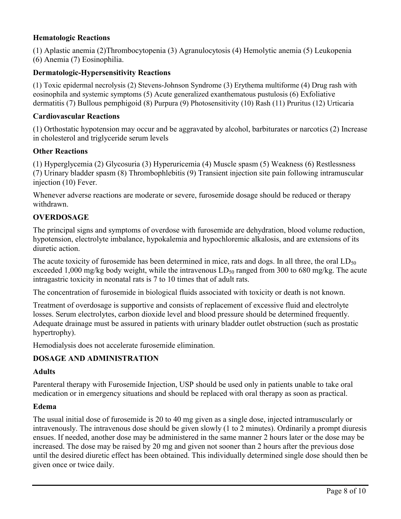## **Hematologic Reactions**

(1) Aplastic anemia (2)Thrombocytopenia (3) Agranulocytosis (4) Hemolytic anemia (5) Leukopenia (6) Anemia (7) Eosinophilia.

#### **Dermatologic-Hypersensitivity Reactions**

(1) Toxic epidermal necrolysis (2) Stevens-Johnson Syndrome (3) Erythema multiforme (4) Drug rash with eosinophila and systemic symptoms (5) Acute generalized exanthematous pustulosis (6) Exfoliative dermatitis (7) Bullous pemphigoid (8) Purpura (9) Photosensitivity (10) Rash (11) Pruritus (12) Urticaria

#### **Cardiovascular Reactions**

(1) Orthostatic hypotension may occur and be aggravated by alcohol, barbiturates or narcotics (2) Increase in cholesterol and triglyceride serum levels

#### **Other Reactions**

(1) Hyperglycemia (2) Glycosuria (3) Hyperuricemia (4) Muscle spasm (5) Weakness (6) Restlessness (7) Urinary bladder spasm (8) Thrombophlebitis (9) Transient injection site pain following intramuscular injection (10) Fever.

Whenever adverse reactions are moderate or severe, furosemide dosage should be reduced or therapy withdrawn.

### **OVERDOSAGE**

The principal signs and symptoms of overdose with furosemide are dehydration, blood volume reduction, hypotension, electrolyte imbalance, hypokalemia and hypochloremic alkalosis, and are extensions of its diuretic action.

The acute toxicity of furosemide has been determined in mice, rats and dogs. In all three, the oral  $LD_{50}$ exceeded 1,000 mg/kg body weight, while the intravenous  $LD_{50}$  ranged from 300 to 680 mg/kg. The acute intragastric toxicity in neonatal rats is 7 to 10 times that of adult rats.

The concentration of furosemide in biological fluids associated with toxicity or death is not known.

Treatment of overdosage is supportive and consists of replacement of excessive fluid and electrolyte losses. Serum electrolytes, carbon dioxide level and blood pressure should be determined frequently. Adequate drainage must be assured in patients with urinary bladder outlet obstruction (such as prostatic hypertrophy).

Hemodialysis does not accelerate furosemide elimination.

### **DOSAGE AND ADMINISTRATION**

#### **Adults**

Parenteral therapy with Furosemide Injection, USP should be used only in patients unable to take oral medication or in emergency situations and should be replaced with oral therapy as soon as practical.

#### **Edema**

The usual initial dose of furosemide is 20 to 40 mg given as a single dose, injected intramuscularly or intravenously. The intravenous dose should be given slowly (1 to 2 minutes). Ordinarily a prompt diuresis ensues. If needed, another dose may be administered in the same manner 2 hours later or the dose may be increased. The dose may be raised by 20 mg and given not sooner than 2 hours after the previous dose until the desired diuretic effect has been obtained. This individually determined single dose should then be given once or twice daily.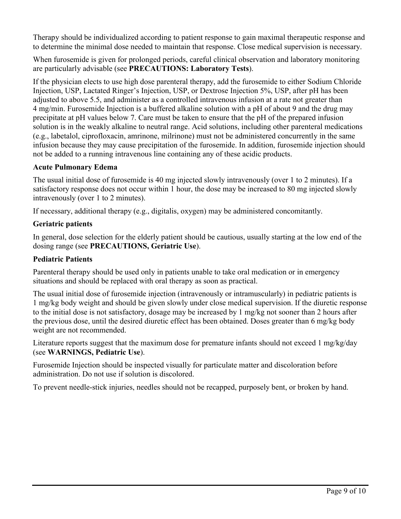Therapy should be individualized according to patient response to gain maximal therapeutic response and to determine the minimal dose needed to maintain that response. Close medical supervision is necessary.

When furosemide is given for prolonged periods, careful clinical observation and laboratory monitoring are particularly advisable (see **PRECAUTIONS: Laboratory Tests**).

If the physician elects to use high dose parenteral therapy, add the furosemide to either Sodium Chloride Injection, USP, Lactated Ringer's Injection, USP, or Dextrose Injection 5%, USP, after pH has been adjusted to above 5.5, and administer as a controlled intravenous infusion at a rate not greater than 4 mg/min. Furosemide Injection is a buffered alkaline solution with a pH of about 9 and the drug may precipitate at pH values below 7. Care must be taken to ensure that the pH of the prepared infusion solution is in the weakly alkaline to neutral range. Acid solutions, including other parenteral medications (e.g., labetalol, ciprofloxacin, amrinone, milrinone) must not be administered concurrently in the same infusion because they may cause precipitation of the furosemide. In addition, furosemide injection should not be added to a running intravenous line containing any of these acidic products.

## **Acute Pulmonary Edema**

The usual initial dose of furosemide is 40 mg injected slowly intravenously (over 1 to 2 minutes). If a satisfactory response does not occur within 1 hour, the dose may be increased to 80 mg injected slowly intravenously (over 1 to 2 minutes).

If necessary, additional therapy (e.g., digitalis, oxygen) may be administered concomitantly.

## **Geriatric patients**

In general, dose selection for the elderly patient should be cautious, usually starting at the low end of the dosing range (see **PRECAUTIONS, Geriatric Use**).

## **Pediatric Patients**

Parenteral therapy should be used only in patients unable to take oral medication or in emergency situations and should be replaced with oral therapy as soon as practical.

The usual initial dose of furosemide injection (intravenously or intramuscularly) in pediatric patients is 1 mg/kg body weight and should be given slowly under close medical supervision. If the diuretic response to the initial dose is not satisfactory, dosage may be increased by 1 mg/kg not sooner than 2 hours after the previous dose, until the desired diuretic effect has been obtained. Doses greater than 6 mg/kg body weight are not recommended.

Literature reports suggest that the maximum dose for premature infants should not exceed 1 mg/kg/day (see **WARNINGS, Pediatric Use**).

Furosemide Injection should be inspected visually for particulate matter and discoloration before administration. Do not use if solution is discolored.

To prevent needle-stick injuries, needles should not be recapped, purposely bent, or broken by hand.